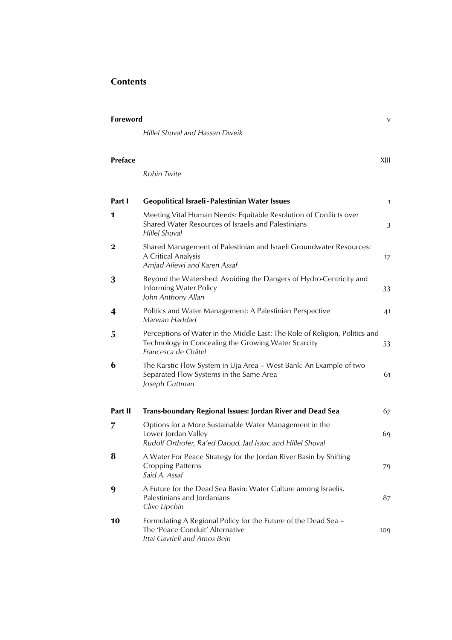## **Contents**

| Foreword       |                                                                                                                                                           | $\vee$       |
|----------------|-----------------------------------------------------------------------------------------------------------------------------------------------------------|--------------|
|                | Hillel Shuval and Hassan Dweik                                                                                                                            |              |
| <b>Preface</b> | Robin Twite                                                                                                                                               | XIII         |
| Part I         | Geopolitical Israeli - Palestinian Water Issues                                                                                                           | $\mathbf{1}$ |
| 1              | Meeting Vital Human Needs: Equitable Resolution of Conflicts over<br>Shared Water Resources of Israelis and Palestinians<br>Hillel Shuval                 | 3            |
| 2              | Shared Management of Palestinian and Israeli Groundwater Resources:<br>A Critical Analysis<br>Amjad Aliewi and Karen Assaf                                | 17           |
| 3              | Beyond the Watershed: Avoiding the Dangers of Hydro-Centricity and<br>Informing Water Policy<br>John Anthony Allan                                        | 33           |
| 4              | Politics and Water Management: A Palestinian Perspective<br>Marwan Haddad                                                                                 | 41           |
| 5              | Perceptions of Water in the Middle East: The Role of Religion, Politics and<br>Technology in Concealing the Growing Water Scarcity<br>Francesca de Châtel | 53           |
| 6              | The Karstic Flow System in Uja Area - West Bank: An Example of two<br>Separated Flow Systems in the Same Area<br>Joseph Guttman                           | 61           |
| Part II        | <b>Trans-boundary Regional Issues: Jordan River and Dead Sea</b>                                                                                          | 67           |
| 7              | Options for a More Sustainable Water Management in the<br>Lower Jordan Valley<br>Rudolf Orthofer, Ra'ed Daoud, Jad Isaac and Hillel Shuval                | 69           |
| 8              | A Water For Peace Strategy for the Jordan River Basin by Shifting<br><b>Cropping Patterns</b><br>Said A. Assaf                                            | 79           |
| 9              | A Future for the Dead Sea Basin: Water Culture among Israelis,<br>Palestinians and Jordanians<br>Clive Lipchin                                            | 87           |
| 10             | Formulating A Regional Policy for the Future of the Dead Sea -<br>The 'Peace Conduit' Alternative<br>Ittai Gavrieli and Amos Bein                         | 109          |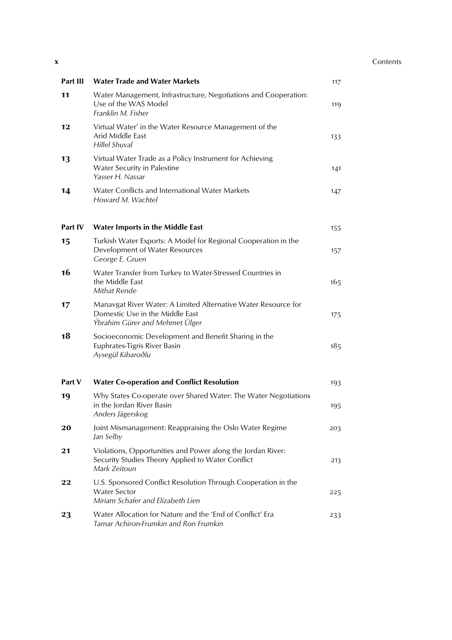## **x** Contents

| Part III | <b>Water Trade and Water Markets</b>                                                                                                | 117 |
|----------|-------------------------------------------------------------------------------------------------------------------------------------|-----|
| 11       | Water Management, Infrastructure, Negotiations and Cooperation:<br>Use of the WAS Model<br>Franklin M. Fisher                       | 119 |
| 12       | Virtual Water' in the Water Resource Management of the<br>Arid Middle East<br><b>Hillel Shuval</b>                                  | 133 |
| 13       | Virtual Water Trade as a Policy Instrument for Achieving<br>Water Security in Palestine<br>Yasser H. Nassar                         | 141 |
| 14       | Water Conflicts and International Water Markets<br>Howard M. Wachtel                                                                | 147 |
| Part IV  | <b>Water Imports in the Middle East</b>                                                                                             | 155 |
| 15       | Turkish Water Exports: A Model for Regional Cooperation in the<br>Development of Water Resources<br>George E. Gruen                 | 157 |
| 16       | Water Transfer from Turkey to Water-Stressed Countries in<br>the Middle East<br>Mithat Rende                                        | 165 |
| 17       | Manavgat River Water: A Limited Alternative Water Resource for<br>Domestic Use in the Middle East<br>Ýbrahim Gürer and Mehmet Ülger | 175 |
| 18       | Socioeconomic Development and Benefit Sharing in the<br>Euphrates-Tigris River Basin<br>Aysegül Kibaroðlu                           | 185 |
| Part V   | <b>Water Co-operation and Conflict Resolution</b>                                                                                   | 193 |
| 19       | Why States Co-operate over Shared Water: The Water Negotiations<br>in the Jordan River Basin<br>Anders Jägerskog                    | 195 |
| 20       | Joint Mismanagement: Reappraising the Oslo Water Regime<br>Jan Selby                                                                | 203 |
| 21       | Violations, Opportunities and Power along the Jordan River:<br>Security Studies Theory Applied to Water Conflict<br>Mark Zeitoun    | 213 |
| 22       | U.S. Sponsored Conflict Resolution Through Cooperation in the<br><b>Water Sector</b><br>Miriam Schafer and Elizabeth Lien           | 225 |
| 23       | Water Allocation for Nature and the 'End of Conflict' Era<br>Tamar Achiron-Frumkin and Ron Frumkin                                  | 233 |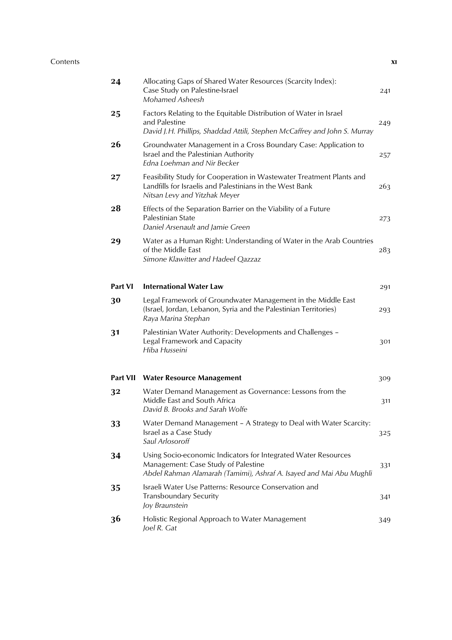## Contents **xi**

| 24              | Allocating Gaps of Shared Water Resources (Scarcity Index):<br>Case Study on Palestine-Israel<br>Mohamed Asheesh                                                             | 241 |
|-----------------|------------------------------------------------------------------------------------------------------------------------------------------------------------------------------|-----|
| 25              | Factors Relating to the Equitable Distribution of Water in Israel<br>and Palestine<br>David J.H. Phillips, Shaddad Attili, Stephen McCaffrey and John S. Murray              | 249 |
| 26              | Groundwater Management in a Cross Boundary Case: Application to<br>Israel and the Palestinian Authority<br>Edna Loehman and Nir Becker                                       | 257 |
| 27              | Feasibility Study for Cooperation in Wastewater Treatment Plants and<br>Landfills for Israelis and Palestinians in the West Bank<br>Nitsan Levy and Yitzhak Meyer            | 263 |
| 28              | Effects of the Separation Barrier on the Viability of a Future<br>Palestinian State<br>Daniel Arsenault and Jamie Green                                                      | 273 |
| 29              | Water as a Human Right: Understanding of Water in the Arab Countries<br>of the Middle East<br>Simone Klawitter and Hadeel Qazzaz                                             | 283 |
| <b>Part VI</b>  | <b>International Water Law</b>                                                                                                                                               | 291 |
| 30              | Legal Framework of Groundwater Management in the Middle East<br>(Israel, Jordan, Lebanon, Syria and the Palestinian Territories)<br>Raya Marina Stephan                      | 293 |
| 3 <sub>1</sub>  | Palestinian Water Authority: Developments and Challenges -<br>Legal Framework and Capacity<br>Hiba Husseini                                                                  | 301 |
| <b>Part VII</b> | <b>Water Resource Management</b>                                                                                                                                             | 309 |
| 32              | Water Demand Management as Governance: Lessons from the<br>Middle East and South Africa<br>David B. Brooks and Sarah Wolfe                                                   | 311 |
| 33              | Water Demand Management - A Strategy to Deal with Water Scarcity:<br>Israel as a Case Study<br>Saul Arlosoroff                                                               | 325 |
| 34              | Using Socio-economic Indicators for Integrated Water Resources<br>Management: Case Study of Palestine<br>Abdel Rahman Alamarah (Tamimi), Ashraf A. Isayed and Mai Abu Mughli | 331 |
| 35              | Israeli Water Use Patterns: Resource Conservation and<br><b>Transboundary Security</b><br>Joy Braunstein                                                                     | 341 |
| 36              | Holistic Regional Approach to Water Management<br>Joel R. Gat                                                                                                                | 349 |